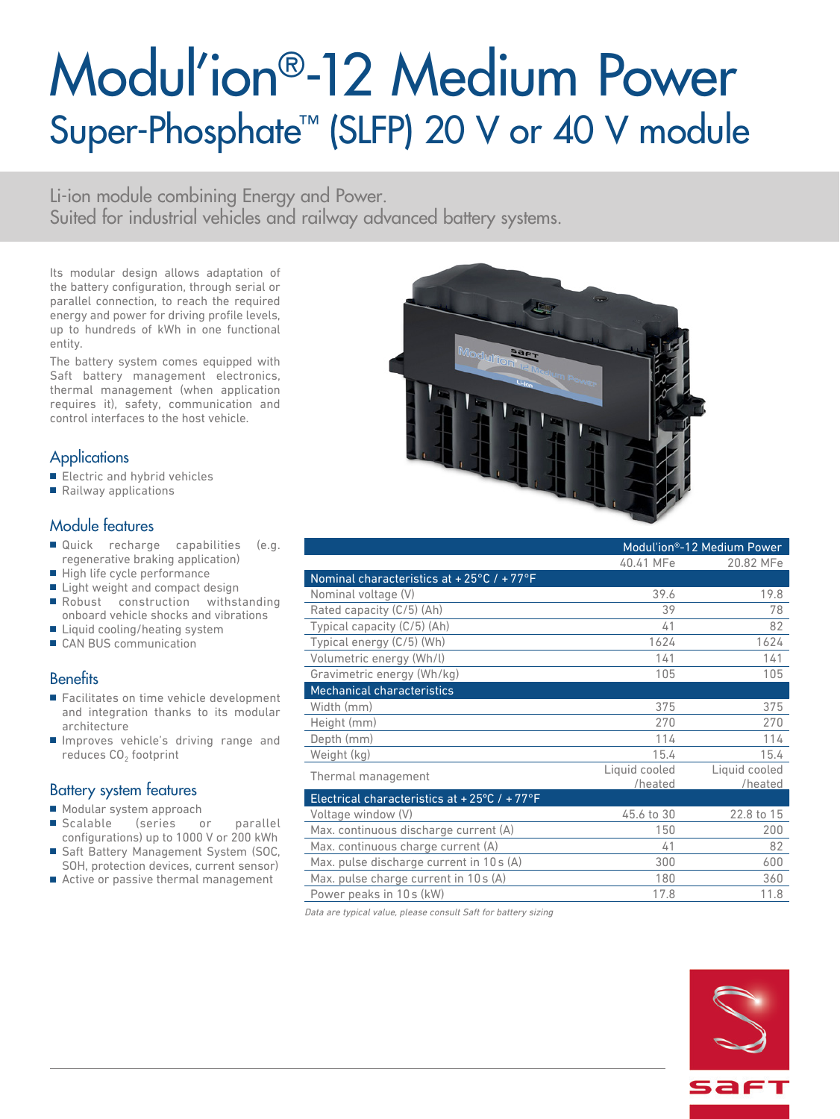# Modul'ion®-12 Medium Power Super-Phosphate<sup>™</sup> (SLFP) 20 V or 40 V module

Li-ion module combining Energy and Power. Suited for industrial vehicles and railway advanced battery systems.

Its modular design allows adaptation of the battery configuration, through serial or parallel connection, to reach the required energy and power for driving profile levels, up to hundreds of kWh in one functional entity.

The battery system comes equipped with Saft battery management electronics, thermal management (when application requires it), safety, communication and control interfaces to the host vehicle.

## **Applications**

- Electric and hybrid vehicles
- Railway applications

## Module features

- Quick recharge capabilities (e.g. regenerative braking application)
- High life cycle performance
- Light weight and compact design
- Robust construction withstanding onboard vehicle shocks and vibrations
- Liquid cooling/heating system
- CAN BUS communication

#### **Benefits**

- Facilitates on time vehicle development and integration thanks to its modular architecture
- Improves vehicle's driving range and reduces CO<sub>2</sub> footprint

#### Battery system features

- Modular system approach
- Scalable (series or parallel configurations) up to 1000 V or 200 kWh
- Saft Battery Management System (SOC, SOH, protection devices, current sensor)
- Active or passive thermal management



|                                                                 |               | Modul'ion®-12 Medium Power |
|-----------------------------------------------------------------|---------------|----------------------------|
|                                                                 | 40.41 MFe     | 20.82 MFe                  |
| Nominal characteristics at +25 $\degree$ C / +77 $\degree$ F    |               |                            |
| Nominal voltage (V)                                             | 39.6          | 19.8                       |
| Rated capacity (C/5) (Ah)                                       | 39            | 78                         |
| Typical capacity (C/5) (Ah)                                     | 41            | 82                         |
| Typical energy (C/5) (Wh)                                       | 1624          | 1624                       |
| Volumetric energy (Wh/l)                                        | 141           | 141                        |
| Gravimetric energy (Wh/kg)                                      | 105           | 105                        |
| <b>Mechanical characteristics</b>                               |               |                            |
| Width (mm)                                                      | 375           | 375                        |
| Height (mm)                                                     | 270           | 270                        |
| Depth (mm)                                                      | 114           | 114                        |
| Weight (kg)                                                     | 15.4          | 15.4                       |
| Thermal management                                              | Liquid cooled | Liquid cooled              |
|                                                                 | /heated       | /heated                    |
| Electrical characteristics at +25 $\degree$ C / +77 $\degree$ F |               |                            |
| Voltage window (V)                                              | 45.6 to 30    | 22.8 to 15                 |
| Max. continuous discharge current (A)                           | 150           | 200                        |
| Max. continuous charge current (A)                              | 41            | 82                         |
| Max. pulse discharge current in 10s (A)                         | 300           | 600                        |
| Max. pulse charge current in 10s (A)                            | 180           | 360                        |
| Power peaks in 10s (kW)                                         | 17.8          | 11.8                       |

Data are typical value, please consult Saft for battery sizing